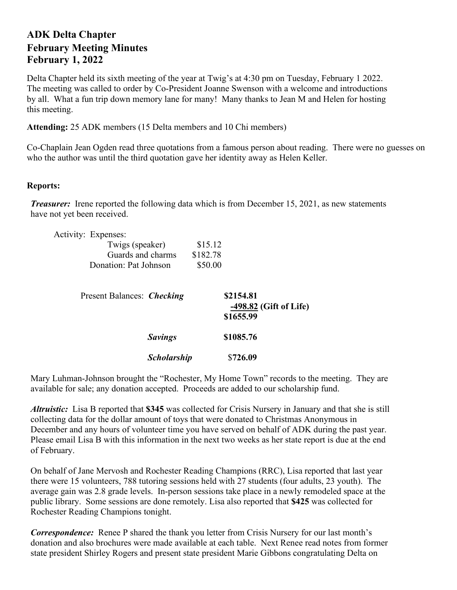## **ADK Delta Chapter February Meeting Minutes February 1, 2022**

Delta Chapter held its sixth meeting of the year at Twig's at 4:30 pm on Tuesday, February 1 2022. The meeting was called to order by Co-President Joanne Swenson with a welcome and introductions by all. What a fun trip down memory lane for many! Many thanks to Jean M and Helen for hosting this meeting.

**Attending:** 25 ADK members (15 Delta members and 10 Chi members)

Co-Chaplain Jean Ogden read three quotations from a famous person about reading. There were no guesses on who the author was until the third quotation gave her identity away as Helen Keller.

## **Reports:**

*Treasurer:* Irene reported the following data which is from December 15, 2021, as new statements have not yet been received.

|  | Activity: Expenses:                                           |                    |                                |                        |
|--|---------------------------------------------------------------|--------------------|--------------------------------|------------------------|
|  | Twigs (speaker)<br>Guards and charms<br>Donation: Pat Johnson |                    | \$15.12<br>\$182.78<br>\$50.00 |                        |
|  |                                                               |                    |                                |                        |
|  |                                                               |                    |                                |                        |
|  |                                                               |                    |                                |                        |
|  | Present Balances: Checking                                    |                    |                                | \$2154.81              |
|  |                                                               |                    |                                | -498.82 (Gift of Life) |
|  |                                                               |                    |                                | \$1655.99              |
|  |                                                               | <b>Savings</b>     |                                | \$1085.76              |
|  |                                                               | <b>Scholarship</b> |                                | \$726.09               |

Mary Luhman-Johnson brought the "Rochester, My Home Town" records to the meeting. They are available for sale; any donation accepted. Proceeds are added to our scholarship fund.

*Altruistic:* Lisa B reported that **\$345** was collected for Crisis Nursery in January and that she is still collecting data for the dollar amount of toys that were donated to Christmas Anonymous in December and any hours of volunteer time you have served on behalf of ADK during the past year. Please email Lisa B with this information in the next two weeks as her state report is due at the end of February.

On behalf of Jane Mervosh and Rochester Reading Champions (RRC), Lisa reported that last year there were 15 volunteers, 788 tutoring sessions held with 27 students (four adults, 23 youth). The average gain was 2.8 grade levels. In-person sessions take place in a newly remodeled space at the public library. Some sessions are done remotely. Lisa also reported that **\$425** was collected for Rochester Reading Champions tonight.

*Correspondence:* Renee P shared the thank you letter from Crisis Nursery for our last month's donation and also brochures were made available at each table. Next Renee read notes from former state president Shirley Rogers and present state president Marie Gibbons congratulating Delta on